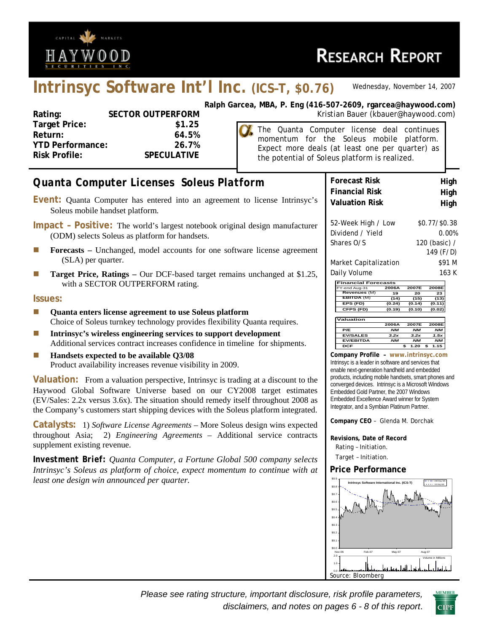

# **Intrinsyc Software Int'l Inc. (ICS–T, \$0.76)** *Wednesday, November 14, 2007*

| Rating:                 | <b>SECTOR OUTPERFORM</b> |
|-------------------------|--------------------------|
| <b>Target Price:</b>    | \$1.25                   |
| Return:                 | 64.5%                    |
| <b>YTD Performance:</b> | 26.7%                    |
| <b>Risk Profile:</b>    | <b>SPECULATIVE</b>       |
|                         |                          |

**Ralph Garcea, MBA, P. Eng (416-507-2609, rgarcea@haywood.com) ORM Rating: SECTOR SECTOR SECTOR CONTROLS AND RESPONDENT CONTROLS COMPLETED SCIENCE SECTOR SECTOR SECTOR SECTOR SECTOR SECTOR SECTOR SECTOR SECTOR SECTOR SECTOR SECTOR SECTOR SECTOR SECTOR SECTOR SECTOR SECTOR SECTOR SE** 

> The Quanta Computer license deal continues momentum for the Soleus mobile platform. Expect more deals (at least one per quarter) as the potential of Soleus platform is realized.

| Quanta Computer Licenses Soleus Platform                                                                                                                                                                                                                                                                                                         | <b>Forecast Risk</b><br>High                                                                                                                                                                                                                                               |
|--------------------------------------------------------------------------------------------------------------------------------------------------------------------------------------------------------------------------------------------------------------------------------------------------------------------------------------------------|----------------------------------------------------------------------------------------------------------------------------------------------------------------------------------------------------------------------------------------------------------------------------|
| Event: Quanta Computer has entered into an agreement to license Intrinsyc's<br>Soleus mobile handset platform.                                                                                                                                                                                                                                   | <b>Financial Risk</b><br>High<br><b>Valuation Risk</b><br>High                                                                                                                                                                                                             |
| Impact - Positive: The world's largest notebook original design manufacturer<br>(ODM) selects Soleus as platform for handsets.                                                                                                                                                                                                                   | \$0.77/\$0.38<br>52-Week High / Low<br>Dividend / Yield<br>0.00%<br>Shares O/S<br>120 (basic) /                                                                                                                                                                            |
| Forecasts - Unchanged, model accounts for one software license agreement<br>L.<br>(SLA) per quarter.                                                                                                                                                                                                                                             | 149 (F/D)<br>\$91 M<br>Market Capitalization                                                                                                                                                                                                                               |
| Target Price, Ratings - Our DCF-based target remains unchanged at \$1.25,<br>Ш<br>with a SECTOR OUTPERFORM rating.                                                                                                                                                                                                                               | Daily Volume<br>163 K<br><b>Financial Forecasts</b><br>2008E<br>2006A<br>2007E                                                                                                                                                                                             |
| <b>Issues:</b>                                                                                                                                                                                                                                                                                                                                   | Y-end Aug-31<br><b>Revenues</b> (M<br>19<br>20<br>23<br>EBITDA (M)<br>(14)<br>(15)<br>(13)<br>EPS (FD)<br>(0.24)<br>(0.14)<br>(0.11)<br>CFPS (FD)<br>(0.19)<br>(0.10)<br>(0.02)                                                                                            |
| Quanta enters license agreement to use Soleus platform<br>$\overline{\phantom{a}}$<br>Choice of Soleus turnkey technology provides flexibility Quanta requires.                                                                                                                                                                                  | Valuation<br>2007E<br>2008E<br>2006A                                                                                                                                                                                                                                       |
| Intrinsyc's wireless engineering services to support development<br>E.<br>Additional services contract increases confidence in timeline for shipments.                                                                                                                                                                                           | N/M<br>M<br>M<br>P/E<br><b>EV/SALES</b><br>3.2x<br>3.2x<br>7.5x<br><b>EV/EBITDA</b><br><b>NM</b><br><b>NM</b><br><b>NM</b><br><b>DCF</b><br>1.20<br>\$<br>\$<br>1.15                                                                                                       |
| Handsets expected to be available Q3/08<br>L.<br>Product availability increases revenue visibility in 2009.                                                                                                                                                                                                                                      | Company Profile - www.intrinsyc.com<br>Intrinsyc is a leader in software and services that<br>enable next-generation handheld and embedded                                                                                                                                 |
| <b>Valuation:</b> From a valuation perspective, Intrinsyc is trading at a discount to the<br>Haywood Global Software Universe based on our CY2008 target estimates<br>(EV/Sales: 2.2x versus 3.6x). The situation should remedy itself throughout 2008 as<br>the Company's customers start shipping devices with the Soleus platform integrated. | products, including mobile handsets, smart phones and<br>converged devices. Intrinsyc is a Microsoft Windows<br>Embedded Gold Partner, the 2007 Windows<br>Embedded Excellence Award winner for System<br>Integrator, and a Symbian Platinum Partner.                      |
| <b>Catalysts:</b> 1) Software License Agreements – More Soleus design wins expected                                                                                                                                                                                                                                                              | Company CEO - Glenda M. Dorchak                                                                                                                                                                                                                                            |
| throughout Asia; 2) Engineering Agreements - Additional service contracts<br>supplement existing revenue.                                                                                                                                                                                                                                        | Revisions, Date of Record<br>Rating - Initiation.                                                                                                                                                                                                                          |
| <b>Investment Brief:</b> Quanta Computer, a Fortune Global 500 company selects                                                                                                                                                                                                                                                                   | Target - Initiation.                                                                                                                                                                                                                                                       |
| Intrinsyc's Soleus as platform of choice, expect momentum to continue with at<br>least one design win announced per quarter.                                                                                                                                                                                                                     | <b>Price Performance</b><br>\$0.9<br>Intrinsyc Software International Inc. (ICS-T)<br>\$0.8<br>\$0.7<br>\$0.6<br>sin a<br>\$0.3<br>\$0.2<br>\$0.1<br>\$0.0<br>Feb-07<br>May-07<br>Aug-07<br>Nov-0<br>2.0<br>Volume in Millions<br>الطافيا عوجباء فيغل<br>Source: Bloomberg |

*Please see rating structure, important disclosure, risk profile parameters, disclaimers, and notes on pages 6 - 8 of this report*.

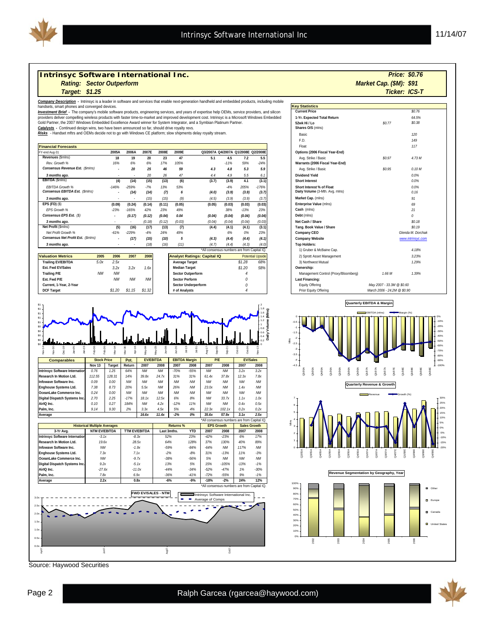

**Daily Volume (Mlns)**

1) Gruber & McBaine Cap

#### **Intrinsyc Software International Inc.**

*Rating: Market Cap. (\$M): Sector Outperform* 

*Company Description -* Intrinsyc is a leader in software and services that enable next-generation handheld and embedded products, including mobile

handsets, smart phones and converged devices.<br>*Investment Brief -* The company's mobile software products, engineering services, and years of expertise help OEMs, service providers, and silicon providers deliver compelling wireless products with faster time-to-market and improved development cost. Intrinsyc is a Microsoft Windows Embedded<br>Gold Partner, the 2007 Windows Embedded Excellence Award winner for System

*Catalysts -* Continued design wins, two have been announced so far, should drive royalty revs. *Risks* - Handset mftrs and OEMs decide not to go with Windows CE platform; slow shipments delay royalty stream.

| <b>Financial Forecasts</b>         |         |                |        |                |        |        |        |                                     |         | Float                           |
|------------------------------------|---------|----------------|--------|----------------|--------|--------|--------|-------------------------------------|---------|---------------------------------|
| FY-end Aug-31                      | 2005A   | 2006A          | 2007E  | 2008E          | 2009E  |        |        | Q3/2007A Q4/2007A Q1/2008E Q2/2008E |         | Options (2006 Fiscal Year-End)  |
| Revenues (\$mins)                  | 18      | 19             | 20     | 23             | 47     | 5.1    | 4.5    | 7.2                                 | 5.5     | Avg. Strike / Basic             |
| Rev. Growth %                      | 16%     | 6%             | 6%     | 17%            | 105%   |        | $-11%$ | 59%                                 | $-24%$  | Warrants (2006 Fiscal Year-End) |
| Consensus Revenue Est. (\$mlns)    | ٠       | $\mathfrak{D}$ | 25     | 46             | 59     | 4.3    | 4.8    | 5.3                                 | 5.9     | Avg. Strike / Basic             |
| 3 months ago.                      |         |                | 20     | $\frac{26}{3}$ | 47     | 4.4    | 4.9    | 5.5                                 | 6. i    | Dividend Yield                  |
| EBITDA (\$mins)                    | (4)     | (14)           | (15)   | (13)           | (6)    | (3.7)  | (3.9)  | 4.1                                 | (3.1)   | <b>Short Interest</b>           |
| <b>FBITDA Growth %</b>             | $-146%$ | $-259%$        | $-7%$  | 13%            | 53%    |        | $-4%$  | 205%                                | $-176%$ | Short Interest % of Float       |
| Consensus EBITDA Est. (\$mlns)     | ۰       | (14)           | (14)   | (7)            | 6      | (4.0)  | (3.9)  | (3.9)                               | (3.7)   | Daily Volume (3-Mth. Avg. mlns) |
| 3 months ago.                      |         | $\sim$         | (15)   | (15)           | (9)    | (4.5)  | (3.9)  | (3.9)                               | (3.7)   | Market Cap. (mlns)              |
| $EPS$ (FD) $(S)$                   | (0.09)  | (0.24)         | (0.14) | (0.11)         | (0.05) | (0.05) | (0.03) | (0.03)                              | (0.03)  | Enterprise Value (mlns)         |
| FPS Growth %                       | $-23%$  | $-165%$        | 42%    | 23%            | 49%    |        | 38%    | $-13%$                              | 23%     | Cash (mins)                     |
| Consensus EPS Est. (\$)            | ٠       | (0.17)         | (0.12) | (0.04)         | 0.04   | (0.04) | (0.04) | (0.04)                              | (0.04)  | Debt (mins)                     |
| 3 months ago.                      |         | ۰              | (0.18) | (0.12)         | (0.03) | (0.04) | (0.04) | (0.04)                              | (0.03)  | Net Cash / Share                |
| Net Profit (\$mins)                | (5)     | (16)           | (17)   | (13)           | (7)    | (4.4)  | (4.1)  | (4.1)                               | (3.1)   | Tang. Book Value / Share        |
| Net Profit Growth %                | $-61%$  | $-229%$        | $-4%$  | 24%            | 49%    |        | 6%     | 0%                                  | 23%     | Company CEO                     |
| Consensus Net Profit Est. (\$mlns) |         | (17)           | (15)   | (10)           | 5      | (4.3)  | (4.4)  | (4.4)                               | (4.1)   | Company Website                 |
| 3 months ago.                      |         |                | (18)   | (16)           | (11)   | (4.7)  | (4.4)  | (4.3)                               | (4.0)   | <b>Top Holders:</b>             |

|                           |           |           |           |           | All consciists numeris dic nom capital ic. |        |                         |                          |
|---------------------------|-----------|-----------|-----------|-----------|--------------------------------------------|--------|-------------------------|--------------------------|
| <b>Valuation Metrics</b>  | 2005      | 2006      | 2007      | 2008      | <b>Analyst Ratings: Capital IQ</b>         |        | <b>Potential Upside</b> | 2) Sprott Asset Man      |
| <b>Trailing EV/EBITDA</b> | 5.0x      | 2.5x      |           |           | <b>Average Target</b>                      | \$1.28 | 68%                     | 3) Northwest Mutual      |
| Est. Fwd EV/Sales         |           | 3.2x      | 3.2x      | 7.6x      | <b>Median Target</b>                       | \$1,20 | 58%                     | Ownership:               |
| Trailing P/E              | <b>NM</b> | <b>NM</b> |           |           | <b>Sector Outperform</b>                   |        |                         | <b>Management Contro</b> |
| Est. Fwd P/E              |           | <b>NM</b> | <b>NM</b> | <b>NM</b> | <b>Sector Perform</b>                      |        |                         | Last Financing:          |
| Current, 1-Year, 2-Year   |           |           |           |           | Sector Underperform                        |        |                         | Equity Offering          |
| <b>DCF Target</b>         |           | \$1.20    | \$1.15    | \$1.32    | # of Analysts                              |        |                         | Prior Equity Offering    |

| *All consensus numbers are from Capital IQ. |        | 1) Gruber & McBaine Cap. |                            |
|---------------------------------------------|--------|--------------------------|----------------------------|
| <b>Analyst Ratings: Capital IQ</b>          |        | <b>Potential Upside</b>  | 2) Sprott Asset Management |
| <b>Average Target</b>                       | \$1.28 | 68%                      | 3) Northwest Mutual        |
| <b>Median Target</b>                        | \$1.20 | 58%                      | Ownership:                 |
| Sector Outperform                           |        |                          | Management Control (Proxy  |
| <b>Sector Perform</b>                       |        |                          | Last Financing:            |
| <b>Sector Underperform</b>                  |        |                          | Equity Offering            |
| # of Analysts                               |        |                          | Prior Equity Offering      |



| Average                       | 2.2x      | 0.8x     | -6%                 | $-9%$  | $-18%$ | $-2%$     | 24%              | 12%       |
|-------------------------------|-----------|----------|---------------------|--------|--------|-----------|------------------|-----------|
| Palm, Inc.                    | 7.8x      | 6.9x     | $-36%$              | $-41%$ | $-72%$ | $-55%$    | 9%               | $-1%$     |
| AirIQ Inc.                    | $-27.6x$  | $-11.0x$ | $-44%$              | $-34%$ | $-52%$ | $-47%$    | 1%               | $-30%$    |
| Digital Dispatch Systems Inc. | 9.2x      | $-5.1x$  | 13%                 | 5%     | 15%    | $-105%$   | $-1.3%$          | $-1%$     |
| OceanLake Commerce Inc.       | <b>NM</b> | $-9.7x$  | $-38%$              | $-56%$ | 5%     | <b>NM</b> | <b>NM</b>        | <b>NM</b> |
| Enghouse Systems Ltd.         | 7.3x      | 7.1x     | $-2%$               | $-8%$  | 31%    | $-13%$    | 11%              | $-3%$     |
| Infowave Software Inc.        | <b>NM</b> | $-1.9x$  | $-59%$              | $-84%$ | $-64%$ | <b>NM</b> | 117%             | <b>NM</b> |
| Research In Motion Ltd.       | 19.6x     | 28.5x    | 64%                 | 128%   | 37%    | 130%      | 40%              | 89%       |
| THULLIS YU SURVALE THEITIAUUT | -0. IA    | -о.эл    | <i><b>JZ 70</b></i> | 2370   | -4270  | -2370     | $\sum_{i=1}^{n}$ | 1/22      |



Source: Haywood Securities

| Target: \$1.25                                                                                                                                                              |         |         |       |       |       |                                     |        |       |         |                                 |        | <b>Ticker: ICS-T</b> |  |
|-----------------------------------------------------------------------------------------------------------------------------------------------------------------------------|---------|---------|-------|-------|-------|-------------------------------------|--------|-------|---------|---------------------------------|--------|----------------------|--|
| scription - Intrinsyc is a leader in software and services that enable next-generation handheld and embedded products, including mobile<br>rt phones and converged devices. |         |         |       |       |       |                                     |        |       |         | <b>Key Statistics</b>           |        |                      |  |
| rief - The company's mobile software products, engineering services, and years of expertise help OEMs, service providers, and silicon                                       |         |         |       |       |       |                                     |        |       |         | <b>Current Price</b>            |        | \$0.76               |  |
| er compelling wireless products with faster time-to-market and improved development cost. Intrinsyc is a Microsoft Windows Embedded                                         |         |         |       |       |       |                                     |        |       |         | 1-Yr. Expected Total Return     |        | 64.5%                |  |
| he 2007 Windows Embedded Excellence Award winner for System Integrator, and a Symbian Platinum Partner.                                                                     |         |         |       |       |       |                                     |        |       |         | 52wk Hi / Lo                    | \$0.77 | \$0.38               |  |
| ontinued design wins, two have been announced so far, should drive royalty revs.                                                                                            |         |         |       |       |       |                                     |        |       |         | Shares O/S (mlns)               |        |                      |  |
| set mftrs and OEMs decide not to go with Windows CE platform; slow shipments delay royalty stream.                                                                          |         |         |       |       |       |                                     |        |       |         | Basic                           |        | 120                  |  |
|                                                                                                                                                                             |         |         |       |       |       |                                     |        |       |         | E.D.                            |        | 149                  |  |
| precasts                                                                                                                                                                    |         |         |       |       |       |                                     |        |       |         | Float                           |        | 117                  |  |
|                                                                                                                                                                             | 2005A   | 2006A   | 2007E | 2008E | 2009E | Q3/2007A Q4/2007A Q1/2008E Q2/2008E |        |       |         | Options (2006 Fiscal Year-End)  |        |                      |  |
| mlns)                                                                                                                                                                       | 18      | 19      | 20    | 23    | 47    | 5.1                                 | 4.5    | 7.2   | 5.5     | Avg. Strike / Basic             | \$0.97 | 4.73 M               |  |
| dh %                                                                                                                                                                        | 16%     | 6%      | 6%    | 17%   | 105%  |                                     | $-11%$ | 59%   | $-24%$  | Warrants (2006 Fiscal Year-End) |        |                      |  |
| Revenue Est. (\$mins)                                                                                                                                                       |         | 20      | 25    | 46    | 59    | 4.3                                 | 4.8    | 5.3   | 5.9     | Avg. Strike / Basic             | \$0.95 | 0.10M                |  |
| ago.                                                                                                                                                                        |         |         | 20    | 26    | 47    | 4.4                                 | 4.9    | 5.5   | 6.1     | <b>Dividend Yield</b>           |        | 0.0%                 |  |
| lns)                                                                                                                                                                        | (4)     | (14)    | (15)  | (13)  | (6)   | (3.7)                               | (3.9)  | 4.1   | (3.1)   | <b>Short Interest</b>           |        | 0.0%                 |  |
| rowth %                                                                                                                                                                     | $-146%$ | $-259%$ | $-7%$ | 13%   | 53%   |                                     | $-4%$  | 205%  | $-176%$ | Short Interest % of Float       |        | 0.0%                 |  |
| <b>EBITDA Est. (\$mins)</b>                                                                                                                                                 |         | (14)    | (14)  | (7)   | 6     | (4.0)                               | (3.9)  | (3.9) | (3.7)   | Daily Volume (3-Mth. Avg. mlns) |        | 0.16                 |  |
| ago.                                                                                                                                                                        |         |         | (15)  | (15)  | (9)   | (4.5)                               | (3.9)  | (3.9) | (3.7)   | Market Cap. (mlns)              |        | 91                   |  |

*Market Cap. (\$M): \$91* 

*\$0.76*

*0*

*69 21*

*Glenda M. Dorchak*

*www.intrinsyc.com*

*\$0.19 \$0.18*

*1.29% 4.18% 3.23%*







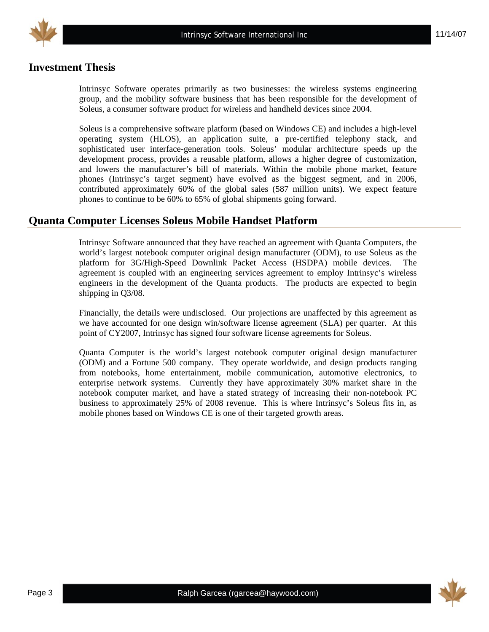

# **Investment Thesis**

Intrinsyc Software operates primarily as two businesses: the wireless systems engineering group, and the mobility software business that has been responsible for the development of Soleus, a consumer software product for wireless and handheld devices since 2004.

Soleus is a comprehensive software platform (based on Windows CE) and includes a high-level operating system (HLOS), an application suite, a pre-certified telephony stack, and sophisticated user interface-generation tools. Soleus' modular architecture speeds up the development process, provides a reusable platform, allows a higher degree of customization, and lowers the manufacturer's bill of materials. Within the mobile phone market, feature phones (Intrinsyc's target segment) have evolved as the biggest segment, and in 2006, contributed approximately 60% of the global sales (587 million units). We expect feature phones to continue to be 60% to 65% of global shipments going forward.

# **Quanta Computer Licenses Soleus Mobile Handset Platform**

Intrinsyc Software announced that they have reached an agreement with Quanta Computers, the world's largest notebook computer original design manufacturer (ODM), to use Soleus as the platform for 3G/High-Speed Downlink Packet Access (HSDPA) mobile devices. The agreement is coupled with an engineering services agreement to employ Intrinsyc's wireless engineers in the development of the Quanta products. The products are expected to begin shipping in Q3/08.

Financially, the details were undisclosed. Our projections are unaffected by this agreement as we have accounted for one design win/software license agreement (SLA) per quarter. At this point of CY2007, Intrinsyc has signed four software license agreements for Soleus.

Quanta Computer is the world's largest notebook computer original design manufacturer (ODM) and a Fortune 500 company. They operate worldwide, and design products ranging from notebooks, home entertainment, mobile communication, automotive electronics, to enterprise network systems. Currently they have approximately 30% market share in the notebook computer market, and have a stated strategy of increasing their non-notebook PC business to approximately 25% of 2008 revenue. This is where Intrinsyc's Soleus fits in, as mobile phones based on Windows CE is one of their targeted growth areas.

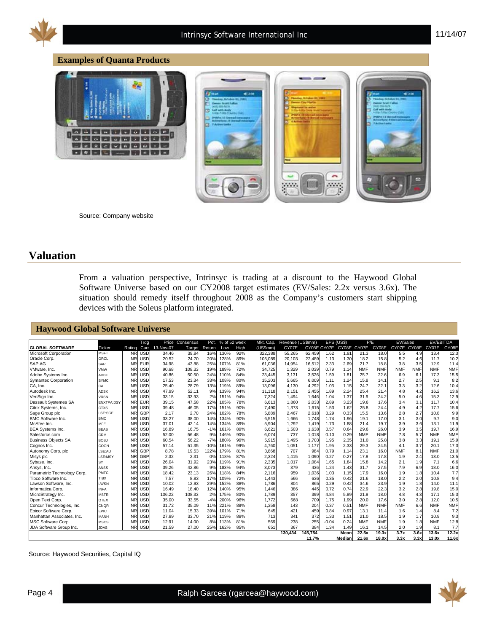

#### **Examples of Quanta Products**



Source: Company website

#### **Valuation**

From a valuation perspective, Intrinsyc is trading at a discount to the Haywood Global Software Universe based on our CY2008 target estimates (EV/Sales: 2.2x versus 3.6x). The situation should remedy itself throughout 2008 as the Company's customers start shipping devices with the Soleus platform integrated.

÷ aaa;

#### **Haywood Global Software Universe**

| <b>GLOBAL SOFTWARE</b>      | Ticker            | Rating    | Trdg<br>Curr | Price<br>13-Nov-07 | Consensus<br>Target | Pot.<br>Return | % of 52 week<br>Low | High | Mkt. Cap.<br>(US5mm) | Revenue (US\$mm)<br>CY07E |         |         | EPS (US\$)<br>CY08E CY07E CY08E CY07E | P/E        | CY08E      | EV/Sales<br>CY07E | CY08E      | EV/EBITDA<br>CY07E | CY08E      |
|-----------------------------|-------------------|-----------|--------------|--------------------|---------------------|----------------|---------------------|------|----------------------|---------------------------|---------|---------|---------------------------------------|------------|------------|-------------------|------------|--------------------|------------|
| Microsoft Corporation       | <b>MSFT</b>       | <b>NR</b> | <b>USD</b>   | 34.46              | 39.84               | 16%            | 130%                | 92%  | 322.388              | 55.265                    | 62.459  | 1.62    | 1.91                                  | 21.3       | 18.0       | 5.5               | 4.9        | 13.4               | 12.3       |
| Oracle Corp.                | ORCL              | <b>NR</b> | <b>USD</b>   | 20.52              | 24.70               | 20%            | 128%                | 89%  | 105,089              | 20.103                    | 22,489  | 1.13    | 1.30                                  | 18.2       | 15.8       | 5.2               | 4.6        | 11.7               | 10.2       |
| <b>SAP AG</b>               | <b>SAP</b>        | <b>NR</b> | <b>EUR</b>   | 34.98              | 43.88               | 25%            | 107%                | 81%  | 61.036               | 14,954                    | 16,512  | 2.33    | 2.69                                  | 21.7       | 18.8       | 3.8               | 3.5        | 12.9               | 11.4       |
| VMware, Inc.                | VMW               | <b>NR</b> | <b>USD</b>   | 90.68              | 108.33              | 19%            | 189%                | 72%  | 34.725               | 1,329                     | 2.039   | 0.79    | 1.14                                  | <b>NMF</b> | <b>NMF</b> | <b>NMF</b>        | <b>NMF</b> | <b>NMF</b>         | <b>NMF</b> |
| Adobe Systems Inc.          | ADBE              | <b>NR</b> | <b>USD</b>   | 40.86              | 50.50               | 24%            | 110%                | 84%  | 23.445               | 3.131                     | 3.526   | 1.59    | 1.81                                  | 25.7       | 22.6       | 6.9               | 6.1        | 17.3               | 15.5       |
| <b>Symantec Corporation</b> | <b>SYMC</b>       | <b>NR</b> | <b>USD</b>   | 17.53              | 23.34               | 33%            | 108%                | 80%  | 15,203               | 5,665                     | 6,009   | 1.11    | 1.24                                  | 15.8       | 14.1       | 2.7               | 2.5        | 9.1                | 8.2        |
| CA, Inc.                    | СA                | <b>NR</b> | <b>USD</b>   | 25.40              | 28.79               | 13%            | 119%                | 89%  | 13,096               | 4,130                     | 4,292   | 1.03    | 1.15                                  | 24.7       | 22.1       | 3.3               | 3.2        | 12.6               | 10.4       |
| Autodesk Inc.               | <b>ADSK</b>       | <b>NR</b> | <b>USD</b>   | 47.99              | 52.11               | 9%             | 139%                | 94%  | 11,118               | 2,151                     | 2,455   | 1.89    | 2.24                                  | 25.4       | 21.4       | 4.8               | 4.2        | 16.2               | 13.6       |
| VeriSign Inc.               | <b>VRSN</b>       | <b>NR</b> | <b>USD</b>   | 33.15              | 33.93               | 2%             | 151%                | 94%  | 7,324                | 1.494                     | 1.646   | 1.04    | 1.37                                  | 31.9       | 24.2       | 5.0               | 4.6        | 15.3               | 12.9       |
| Dassault Systemes SA        | <b>ENXTPA:DSY</b> | <b>NR</b> | <b>EUR</b>   | 39.15              | 47.58               | 22%            | 105%                | 78%  | 6.613                | 1,860                     | 2,033   | 2.89    | 3.23                                  | 19.6       | 17.6       | 3.4               | 3.1        | 11.7               | 10.4       |
| Citrix Systems, Inc.        | <b>CTXS</b>       | <b>NR</b> | <b>USD</b>   | 39.48              | 46.05               | 17%            | 151%                | 90%  | 7,490                | 1,373                     | 1,615   | 1.53    | 1.62                                  | 25.8       | 24.4       | 4.9               | 4.2        | 17.7               | 15.6       |
| Sage Group plc              | LSE:SGE           | <b>NR</b> | GBP          | 2.17               | 2.70                | 24%            | 102%                | 78%  | 5,889                | 2,467                     | 2,618   | 0.29    | 0.33                                  | 15.5       | 13.6       | 2.8               | 2.7        | 10.8               | 9.9        |
| <b>BMC Software Inc.</b>    | <b>BMC</b>        | <b>NR</b> | <b>USD</b>   | 33.27              | 38.00               | 14%            | 134%                | 90%  | 6,515                | 1,666                     | 1,748   | 1.74    | 1.96                                  | 19.1       | 17.0       | 3.1               | 3.0        | 9.7                | 9.0        |
| McAfee Inc.                 | <b>MFE</b>        | <b>NR</b> | <b>USD</b>   | 37.01              | 42.14               | 14%            | 134%                | 89%  | 5,904                | 1,292                     | 1,419   | 1.73    | 1.88                                  | 21.4       | 19.7       | 3.9               | 3.6        | 13.1               | 11.9       |
| <b>BEA Systems Inc.</b>     | <b>BEAS</b>       | <b>NR</b> | <b>USD</b>   | 16.89              | 16.75               | $-1%$          | 161%                | 89%  | 6.621                | 1,503                     | 1,638   | 0.57    | 0.64                                  | 29.6       | 26.0       | 3.9               | 3.5        | 19.7               | 16.9       |
| Salesforce.com              | CRM               | <b>NR</b> | <b>USD</b>   | 52.00              | 56.48               | 9%             | 146%                | 90%  | 6.074                | 737                       | 1.018   | 0.10    | 0.29                                  | <b>NMF</b> | <b>NMF</b> | 7.8               | 5.7        | <b>NMF</b>         | <b>NMF</b> |
| <b>Business Obiects SA</b>  | <b>BOBJ</b>       | <b>NR</b> | <b>USD</b>   | 60.54              | 56.22               | $-7%$          | 180%                | 99%  | 5,915                | 1.495                     | 1.703   | 1.95    | 2.35                                  | 31.0       | 25.8       | 3.8               | 3.3        | 19.1               | 15.9       |
| Cognos Inc.                 | COGN              | <b>NR</b> | <b>USD</b>   | 57.14              | 51.35               | $-10%$         | 161%                | 99%  | 4,760                | 1,051                     | 1,177   | 1.95    | 2.33                                  | 29.3       | 24.5       | 4.1               | 3.7        | 20.1               | 17.3       |
| Autonomy Corp. plc          | LSE:AU            | <b>NR</b> | <b>GBP</b>   | 8.78               | 19.53               | 122%           | 179%                | 81%  | 3,868                | 707                       | 984     | 0.79    | 1.14                                  | 23.1       | 16.0       | <b>NMF</b>        | 8.1        | <b>NMF</b>         | 21.0       |
| Misys plc                   | LSE:MSY           | <b>NR</b> | GBP          | 2.32               | 2.31                | 0%             | 118%                | 87%  | 2,324                | 1,415                     | 1,090   | 0.27    | 0.27                                  | 17.8       | 17.8       | 1.9               | 2.4        | 13.0               | 13.5       |
| Sybase, Inc.                | SY                | <b>NR</b> | <b>USD</b>   | 26.04              | 31.92               | 23%            | 119%                | 91%  | 2,335                | 1,017                     | 1,084   | 1.65    | 1.84                                  | 15.8       | 14.2       | 2.1               | 1.9        | 7.1                | 6.6        |
| Ansys, Inc.                 | ANSS              | <b>NR</b> | <b>USD</b>   | 39.26              | 42.86               | 9%             | 183%                | 94%  | 3.073                | 379                       | 436     | 1.24    | 1.43                                  | 31.7       | 27.5       | 7.9               | 6.9        | 18.0               | 16.0       |
| Parametric Technology Corp. | PMTC              | <b>NR</b> | <b>USD</b>   | 18.42              | 23.13               | 26%            | 118%                | 84%  | 2.116                | 959                       | 1,036   | 1.03    | 1.15                                  | 17.9       | 16.0       | 1.9               | 1.8        | 10.4               | 7.7        |
| Tibco Software Inc.         | <b>TIBX</b>       | <b>NR</b> | <b>USD</b>   | 7.57               | 8.83                | 17%            | 109%                | 72%  | 1.443                | 566                       | 636     | 0.35    | 0.42                                  | 21.6       | 18.0       | 2.2               | 2.0        | 10.8               | 9.4        |
| Lawson Software, Inc.       | LWSN              | <b>NR</b> | <b>USD</b>   | 10.02              | 12.93               | 29%            | 152%                | 88%  | 1.786                | 804                       | 865     | 0.29    | 0.42                                  | 34.6       | 23.9       | 1.9               | 1.8        | 14.0               | 11.1       |
| Informatica Corp.           | <b>INFA</b>       | <b>NR</b> | <b>USD</b>   | 16.49              | 18.40               | 12%            | 140%                | 95%  | 1.446                | 386                       | 445     | 0.72    | 0.74                                  | 22.9       | 22.3       | 3.2               | 2.8        | 19.8               | 15.0       |
| MicroStrategy Inc.          | <b>MSTR</b>       | <b>NR</b> | <b>USD</b>   | 106.22             | 108.33              | 2%             | 175%                | 80%  | 1.789                | 357                       | 399     | 4.84    | 5.89                                  | 21.9       | 18.0       | 4.8               | 4.3        | 17.1               | 15.3       |
| Open Text Corp.             | <b>OTEX</b>       | <b>NR</b> | <b>USD</b>   | 35.00              | 33.55               | $-4%$          | 200%                | 96%  | 1.772                | 668                       | 709     | 1.75    | 1.99                                  | 20.0       | 17.6       | 3.0               | 2.8        | 12.0               | 10.5       |
| Concur Technologies, Inc.   | CNQR              | <b>NR</b> | <b>USD</b>   | 31.72              | 35.09               | 11%            | 221%                | 88%  | 1.358                | 143                       | 204     | 0.37    | 0.51                                  | <b>NMF</b> | <b>NMF</b> | <b>NMF</b>        | 6.6        | <b>NMF</b>         | <b>NMF</b> |
| Epicor Software Corp.       | EPIC              | <b>NR</b> | <b>USD</b>   | 11.04              | 15.33               | 39%            | 101%                | 71%  | 645                  | 421                       | 459     | 0.84    | 0.97                                  | 13.1       | 11.4       | 1.6               | 1.4        | 8.4                | 7.2        |
| Manhattan Associates, Inc.  | MANH              | <b>NR</b> | <b>USD</b>   | 27.89              | 33.70               | 21%            | 119%                | 88%  | 713                  | 341                       | 372     | 1.33    | 1.51                                  | 21.0       | 18.5       | 1.9               | 1.7        | 10.9               | 9.3        |
| <b>MSC Software Corp.</b>   | <b>MSCS</b>       | <b>NR</b> | <b>USD</b>   | 12.91              | 14.00               | 8%             | 113%                | 81%  | 569                  | 238                       | 255     | $-0.04$ | 0.24                                  | <b>NMF</b> | <b>NMF</b> | 1.9               | 1.8        | <b>NMF</b>         | 12.8       |
| JDA Software Group Inc.     | <b>JDAS</b>       | <b>NR</b> | <b>USD</b>   | 21.59              | 27.00               | 25%            | 162%                | 85%  | 651                  | 367                       | 384     | 1.34    | 1.49                                  | 16.1       | 14.5       | 2.0               | 1.9        | 8.1                | 7.7        |
|                             |                   |           |              |                    |                     |                |                     |      |                      | 130.434                   | 145.754 |         | Mean                                  | 22.5x      | 19.3x      | 3.7x              | 3.6x       | 13.6x              | 12.2x      |
|                             |                   |           |              |                    |                     |                |                     |      |                      |                           | 11.7%   |         | Median                                | 21.6x      | 18.0x      | 3.3x              | 3.3x       | 13.0x              | 11.6x      |

Source: Haywood Securities, Capital IQ

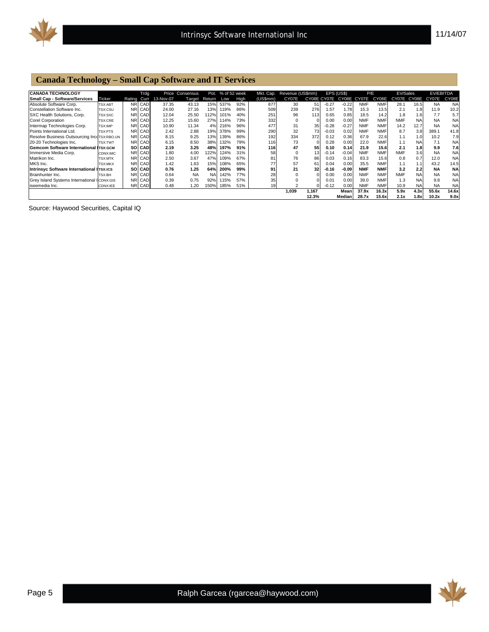

#### **Canada Technology – Small Cap Software and IT Services**

| <b>CANADA TECHNOLOGY</b>                      |                |        | Trdg       |           | Price Consensus | Pot.   | % of 52 week |      | Mkt. Cap. | Revenue (US\$mm) |                 | EPS (US\$)  |             | P/E        |            | EV/Sales    |           | <b>EV/EBITDA</b> |           |
|-----------------------------------------------|----------------|--------|------------|-----------|-----------------|--------|--------------|------|-----------|------------------|-----------------|-------------|-------------|------------|------------|-------------|-----------|------------------|-----------|
| <b>Small Cap - Software/Services</b>          | Ticker         | Rating | Curr       | 13-Nov-07 | Target          | Return | Low          | High | (US5mm)   | CY07E            |                 | CY08E CY07E | CY08E CY07E |            | CY08E      | CY07E CY08E |           | CY07E            | CY08E     |
| Absolute Software Corp.                       | <b>TSX:ABT</b> |        | NR CAD     | 37.35     | 43.13           | 15%    | 537%         | 92%  | 877       | 30               | 51              | $-0.27$     | $-0.22$     | <b>NMF</b> | <b>NMF</b> | 28.1        | 16.5      | <b>NA</b>        | <b>NA</b> |
| Constellation Software Inc.                   | TSX:CSU        | NRI    | CAD        | 24.00     | 27.16           | 13%    | 119%         | 86%  | 509       | 239              | 276             | 1.57        | 1.78        | 15.3       | 13.5       | 2.1         | 1.8       | 11.9             | 10.2      |
| SXC Health Solutions, Corp.                   | TSX:SXC        | NR.    | CAD        | 12.04     | 25.50           | 12%    | 101%         | 40%  | 251       | 96               | 113             | 0.65        | 0.85        | 18.5       | 14.2       | 1.8         | 1.6       | 7.7              | 5.7       |
| <b>Corel Corporation</b>                      | TSX:CRE        |        | NRI CAD    | 12.25     | 15.60           | 27%    | 114%         | 73%  | 332       | $\mathbf 0$      | 0               | 0.00        | 0.00        | <b>NMF</b> | <b>NMF</b> | <b>NMF</b>  | <b>NA</b> | <b>NA</b>        | <b>NA</b> |
| intermap Technologies Corp.                   | TSX:IMP        | NR.    | CAD        | 10.90     | 11.34           | 4%     | 216%         | 96%  | 477       | 31               | 35              | $-0.28$     | $-0.27$     | <b>NMF</b> | <b>NMF</b> | 14.2        | 12.7      | <b>NA</b>        | <b>NA</b> |
| Points International Ltd.                     | TSX:PTS        | NR.    | CAD        | 2.42      | 2.88            | 19%    | 378%         | 99%  | 290       | 32               | 73              | $-0.03$     | 0.02        | <b>NMF</b> | <b>NMF</b> | 8.7         | 3.8       | 389.1            | 41.8      |
| Resolve Business Outsourcing IncoTSX:RBO.UN   |                | NR.    | CAD        | 8.15      | 9.25            | 13%    | 139%         | 86%  | 192       | 334              | 372             | 0.12        | 0.36        | 67.9       | 22.6       | 1.1         | 1.0       | 10.2             | 7.9       |
| 20-20 Technologies Inc.                       | <b>TSX:TWT</b> | NR.    | CAD        | 6.15      | 8.50            | 38%    | 132%         | 79%  | 116       | 73               | $\Omega$        | 0.28        | 0.00        | 22.0       | <b>NMF</b> | 1.1         | <b>NA</b> | 7.1              | <b>NA</b> |
| <b>Gemcom Software International ITSX:GCM</b> |                |        | SOI CAD    | 2.19      | 3.25            | 48%    | 197%         | 91%  | 116       | 47               | 55              | 0.10        | 0.14        | 21.9       | 15.6       | 2.1         | 1.8       | 9.9              | 7.6       |
| Immersive Media Corp.                         | CDNX:IMC       | NR.    | CAD        | 1.80      | 4.00            | 122%   | 124%         | 31%  | 58        | $\mathbf 0$      | 13 <sub>l</sub> | $-0.14$     | $-0.04$     | <b>NMF</b> | <b>NMF</b> | <b>NMF</b>  | 3.6       | <b>NA</b>        | <b>NA</b> |
| Matrikon Inc.                                 | <b>TSX:MTK</b> | NR.    | CAD        | 2.50      | 3.67            | 47%    | 109%         | 67%  | 81        | 76               | 86              | 0.03        | 0.16        | 83.3       | 15.6       | 0.8         | 0.7       | 12.0             | <b>NA</b> |
| MKS Inc.                                      | <b>TSX:MKX</b> | NR.    | CAD        | 1.42      | 1.63            | 15%    | 108%         | 65%  | 77        | 57               | 61              | 0.04        | 0.00        | 35.5       | <b>NMF</b> | 1.1         | 1.1       | 43.2             | 14.5      |
| Intrinsvc Software International II⊤sx:ıcs    |                | sol    | <b>CAD</b> | 0.76      | 1.25            | 64%    | 200%         | 99%  | 91        | 21               | 32              | $-0.16$     | $-0.09$     | <b>NMF</b> | <b>NMF</b> | 3.2         | 2.2       | <b>NA</b>        | <b>NA</b> |
| Brainhunter Inc.                              | <b>TSX:BH</b>  | NRI.   | CAD        | 0.64      | <b>NA</b>       | NA     | 142%         | 77%  | 28        | $\mathbf 0$      | 0               | 0.00        | 0.00        | <b>NMF</b> | <b>NMF</b> | <b>NMF</b>  | <b>NA</b> | <b>NA</b>        | <b>NA</b> |
| Grey Island Systems International I CDNX:GIS  |                | NR.    | CAD        | 0.39      | 0.75            | 92%    | 15%          | 57%  | 35        |                  | 0               | 0.01        | 0.00        | 39.0       | <b>NMF</b> | 1.3         | <b>NA</b> | 9.8              | <b>NA</b> |
| iseemedia Inc.                                | CDNX:IEE       | NRI.   | CAD        | 0.48      | 1.20            | 150%   | 185%         | 51%  | 19        |                  | ΩI              | $-0.12$     | 0.00        | <b>NMF</b> | <b>NMF</b> | 10.9        | <b>NA</b> | <b>NA</b>        | <b>NA</b> |
|                                               |                |        |            |           |                 |        |              |      |           | 1,039            | 1,167           |             | Mean        | 37.9x      | 16.3x      | 5.9x        | 4.3x      | 55.6x            | 14.6x     |
|                                               |                |        |            |           |                 |        |              |      |           |                  | 12.3%           |             | Median      | 28.7x      | 15.6x      | 2.1x        | 1.8x      | 10.2x            | 9.0x      |

Source: Haywood Securities, Capital IQ

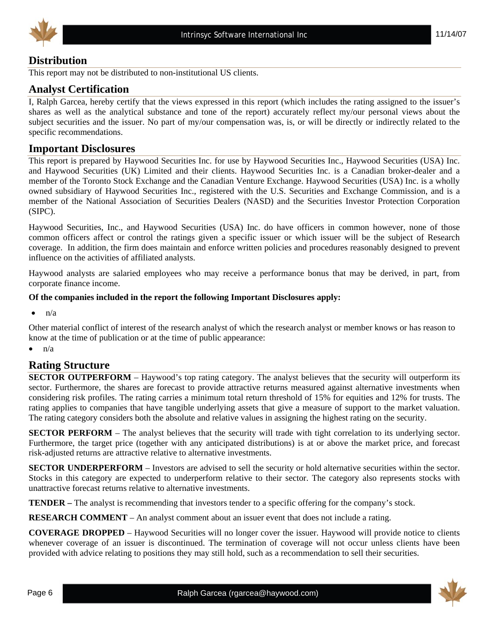



# **Distribution**

This report may not be distributed to non-institutional US clients.

#### **Analyst Certification**

I, Ralph Garcea, hereby certify that the views expressed in this report (which includes the rating assigned to the issuer's shares as well as the analytical substance and tone of the report) accurately reflect my/our personal views about the subject securities and the issuer. No part of my/our compensation was, is, or will be directly or indirectly related to the specific recommendations.

#### **Important Disclosures**

This report is prepared by Haywood Securities Inc. for use by Haywood Securities Inc., Haywood Securities (USA) Inc. and Haywood Securities (UK) Limited and their clients. Haywood Securities Inc. is a Canadian broker-dealer and a member of the Toronto Stock Exchange and the Canadian Venture Exchange. Haywood Securities (USA) Inc. is a wholly owned subsidiary of Haywood Securities Inc., registered with the U.S. Securities and Exchange Commission, and is a member of the National Association of Securities Dealers (NASD) and the Securities Investor Protection Corporation (SIPC).

Haywood Securities, Inc., and Haywood Securities (USA) Inc. do have officers in common however, none of those common officers affect or control the ratings given a specific issuer or which issuer will be the subject of Research coverage. In addition, the firm does maintain and enforce written policies and procedures reasonably designed to prevent influence on the activities of affiliated analysts.

Haywood analysts are salaried employees who may receive a performance bonus that may be derived, in part, from corporate finance income.

#### **Of the companies included in the report the following Important Disclosures apply:**

 $\bullet$  n/a

Other material conflict of interest of the research analyst of which the research analyst or member knows or has reason to know at the time of publication or at the time of public appearance:

 $\bullet$   $\bullet$   $\bullet$ 

#### **Rating Structure**

**SECTOR OUTPERFORM** – Haywood's top rating category. The analyst believes that the security will outperform its sector. Furthermore, the shares are forecast to provide attractive returns measured against alternative investments when considering risk profiles. The rating carries a minimum total return threshold of 15% for equities and 12% for trusts. The rating applies to companies that have tangible underlying assets that give a measure of support to the market valuation. The rating category considers both the absolute and relative values in assigning the highest rating on the security.

**SECTOR PERFORM** – The analyst believes that the security will trade with tight correlation to its underlying sector. Furthermore, the target price (together with any anticipated distributions) is at or above the market price, and forecast risk-adjusted returns are attractive relative to alternative investments.

**SECTOR UNDERPERFORM** – Investors are advised to sell the security or hold alternative securities within the sector. Stocks in this category are expected to underperform relative to their sector. The category also represents stocks with unattractive forecast returns relative to alternative investments.

**TENDER –** The analyst is recommending that investors tender to a specific offering for the company's stock.

**RESEARCH COMMENT** – An analyst comment about an issuer event that does not include a rating.

**COVERAGE DROPPED** – Haywood Securities will no longer cover the issuer. Haywood will provide notice to clients whenever coverage of an issuer is discontinued. The termination of coverage will not occur unless clients have been provided with advice relating to positions they may still hold, such as a recommendation to sell their securities.

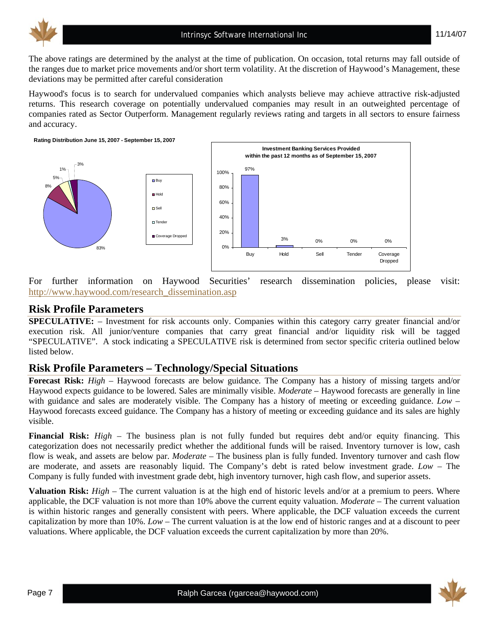

The above ratings are determined by the analyst at the time of publication. On occasion, total returns may fall outside of the ranges due to market price movements and/or short term volatility. At the discretion of Haywood's Management, these deviations may be permitted after careful consideration

Haywood's focus is to search for undervalued companies which analysts believe may achieve attractive risk-adjusted returns. This research coverage on potentially undervalued companies may result in an outweighted percentage of companies rated as Sector Outperform. Management regularly reviews rating and targets in all sectors to ensure fairness and accuracy.

**Rating Distribution June 15, 2007 - September 15, 2007**



For further information on Haywood Securities' research dissemination policies, please visit: http://www.haywood.com/research\_dissemination.asp

#### **Risk Profile Parameters**

**SPECULATIVE:** – Investment for risk accounts only. Companies within this category carry greater financial and/or execution risk. All junior/venture companies that carry great financial and/or liquidity risk will be tagged "SPECULATIVE". A stock indicating a SPECULATIVE risk is determined from sector specific criteria outlined below listed below.

# **Risk Profile Parameters – Technology/Special Situations**

**Forecast Risk:** *High* – Haywood forecasts are below guidance. The Company has a history of missing targets and/or Haywood expects guidance to be lowered. Sales are minimally visible. *Moderate* – Haywood forecasts are generally in line with guidance and sales are moderately visible. The Company has a history of meeting or exceeding guidance. *Low* – Haywood forecasts exceed guidance. The Company has a history of meeting or exceeding guidance and its sales are highly visible.

**Financial Risk:** *High* – The business plan is not fully funded but requires debt and/or equity financing. This categorization does not necessarily predict whether the additional funds will be raised. Inventory turnover is low, cash flow is weak, and assets are below par. *Moderate* – The business plan is fully funded. Inventory turnover and cash flow are moderate, and assets are reasonably liquid. The Company's debt is rated below investment grade. *Low* – The Company is fully funded with investment grade debt, high inventory turnover, high cash flow, and superior assets.

**Valuation Risk:** *High* – The current valuation is at the high end of historic levels and/or at a premium to peers. Where applicable, the DCF valuation is not more than 10% above the current equity valuation. *Moderate* – The current valuation is within historic ranges and generally consistent with peers. Where applicable, the DCF valuation exceeds the current capitalization by more than 10%. *Low* – The current valuation is at the low end of historic ranges and at a discount to peer valuations. Where applicable, the DCF valuation exceeds the current capitalization by more than 20%.